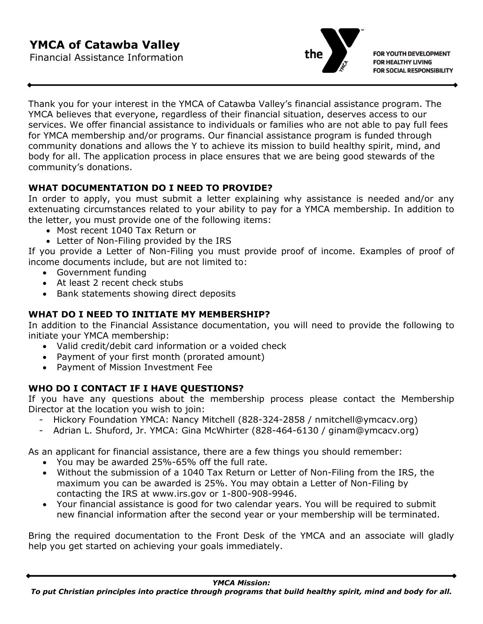

FOR YOUTH DEVELOPMENT FOR HEALTHY LIVING FOR SOCIAL RESPONSIBILITY

Thank you for your interest in the YMCA of Catawba Valley's financial assistance program. The YMCA believes that everyone, regardless of their financial situation, deserves access to our services. We offer financial assistance to individuals or families who are not able to pay full fees for YMCA membership and/or programs. Our financial assistance program is funded through community donations and allows the Y to achieve its mission to build healthy spirit, mind, and body for all. The application process in place ensures that we are being good stewards of the community's donations.

### **WHAT DOCUMENTATION DO I NEED TO PROVIDE?**

In order to apply, you must submit a letter explaining why assistance is needed and/or any extenuating circumstances related to your ability to pay for a YMCA membership. In addition to the letter, you must provide one of the following items:

- Most recent 1040 Tax Return or
- Letter of Non-Filing provided by the IRS

If you provide a Letter of Non-Filing you must provide proof of income. Examples of proof of income documents include, but are not limited to:

- Government funding
- $\bullet$  At least 2 recent check stubs
- Bank statements showing direct deposits

## **WHAT DO I NEED TO INITIATE MY MEMBERSHIP?**

In addition to the Financial Assistance documentation, you will need to provide the following to initiate your YMCA membership:

- Valid credit/debit card information or a voided check
- Payment of your first month (prorated amount)
- Payment of Mission Investment Fee

## **WHO DO I CONTACT IF I HAVE QUESTIONS?**

If you have any questions about the membership process please contact the Membership Director at the location you wish to join:

- Hickory Foundation YMCA: Nancy Mitchell (828-324-2858 / nmitchell@ymcacv.org)
- Adrian L. Shuford, Jr. YMCA: Gina McWhirter (828-464-6130 / ginam@ymcacv.org)

As an applicant for financial assistance, there are a few things you should remember:

- You may be awarded 25%-65% off the full rate.
- Without the submission of a 1040 Tax Return or Letter of Non-Filing from the IRS, the maximum you can be awarded is 25%. You may obtain a Letter of Non-Filing by contacting the IRS at www.irs.gov or 1-800-908-9946.
- Your financial assistance is good for two calendar years. You will be required to submit new financial information after the second year or your membership will be terminated.

Bring the required documentation to the Front Desk of the YMCA and an associate will gladly help you get started on achieving your goals immediately.

### *YMCA Mission:*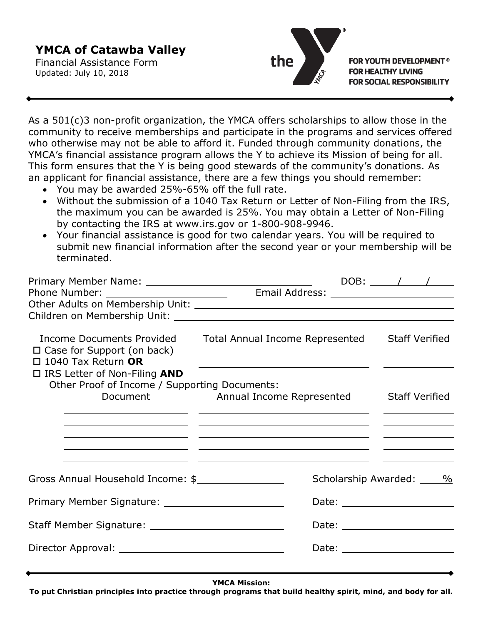# **YMCA of Catawba Valley**

Financial Assistance Form Updated: July 10, 2018



**FOR YOUTH DEVELOPMENT® FOR HEALTHY LIVING FOR SOCIAL RESPONSIBILITY** 

As a 501(c)3 non-profit organization, the YMCA offers scholarships to allow those in the community to receive memberships and participate in the programs and services offered who otherwise may not be able to afford it. Funded through community donations, the YMCA's financial assistance program allows the Y to achieve its Mission of being for all. This form ensures that the Y is being good stewards of the community's donations. As an applicant for financial assistance, there are a few things you should remember:

- $\bullet$  You may be awarded 25%-65% off the full rate.
- Without the submission of a 1040 Tax Return or Letter of Non-Filing from the IRS, the maximum you can be awarded is 25%. You may obtain a Letter of Non-Filing by contacting the IRS at www.irs.gov or 1-800-908-9946.
- Your financial assistance is good for two calendar years. You will be required to submit new financial information after the second year or your membership will be terminated.

|                                                                                        |                                                                                                                                                                                                                                         |                                 | DOB: $\frac{\sqrt{2}}{2}$              |  |
|----------------------------------------------------------------------------------------|-----------------------------------------------------------------------------------------------------------------------------------------------------------------------------------------------------------------------------------------|---------------------------------|----------------------------------------|--|
| Income Documents Provided<br>□ Case for Support (on back)<br>$\Box$ 1040 Tax Return OR | Total Annual Income Represented Staff Verified                                                                                                                                                                                          |                                 |                                        |  |
| $\Box$ IRS Letter of Non-Filing AND<br>Other Proof of Income / Supporting Documents:   | Document Manual Income Represented Staff Verified<br><u> 1999 - Johann Stoff, amerikansk politiker (* 1908)</u><br><u> 1990 - Jan James James James James James James James James James James James James James James James James J</u> |                                 |                                        |  |
| Gross Annual Household Income: \$                                                      |                                                                                                                                                                                                                                         |                                 | Scholarship Awarded: 0%                |  |
|                                                                                        |                                                                                                                                                                                                                                         | Date: _________________________ |                                        |  |
|                                                                                        |                                                                                                                                                                                                                                         |                                 |                                        |  |
| Director Approval: National Contractor Approval:                                       |                                                                                                                                                                                                                                         |                                 | Date: <u>_________________________</u> |  |

#### **YMCA Mission:**

**To put Christian principles into practice through programs that build healthy spirit, mind, and body for all.**